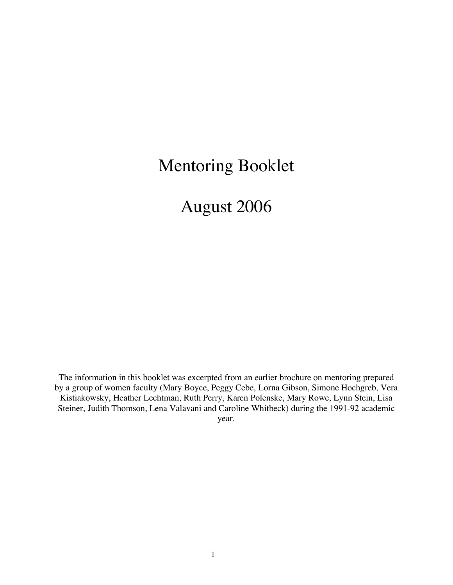# Mentoring Booklet

August 2006

The information in this booklet was excerpted from an earlier brochure on mentoring prepared by a group of women faculty (Mary Boyce, Peggy Cebe, Lorna Gibson, Simone Hochgreb, Vera Kistiakowsky, Heather Lechtman, Ruth Perry, Karen Polenske, Mary Rowe, Lynn Stein, Lisa Steiner, Judith Thomson, Lena Valavani and Caroline Whitbeck) during the 1991-92 academic year.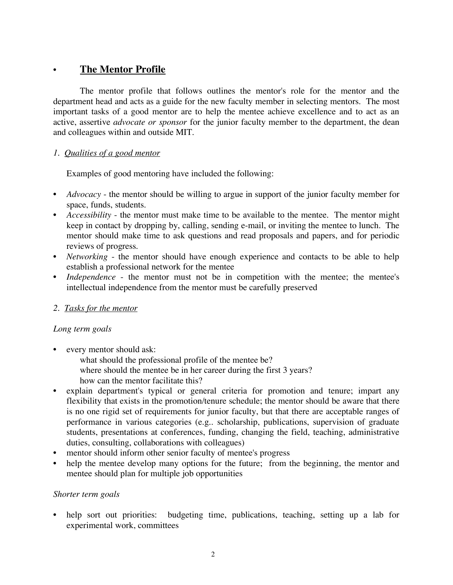# • **The Mentor Profile**

The mentor profile that follows outlines the mentor's role for the mentor and the department head and acts as a guide for the new faculty member in selecting mentors. The most important tasks of a good mentor are to help the mentee achieve excellence and to act as an active, assertive *advocate or sponsor* for the junior faculty member to the department, the dean and colleagues within and outside MIT.

## *1. Qualities of a good mentor*

Examples of good mentoring have included the following:

- *Advocacy* the mentor should be willing to argue in support of the junior faculty member for space, funds, students.
- *Accessibility* the mentor must make time to be available to the mentee. The mentor might keep in contact by dropping by, calling, sending e-mail, or inviting the mentee to lunch. The mentor should make time to ask questions and read proposals and papers, and for periodic reviews of progress.
- *Networking* the mentor should have enough experience and contacts to be able to help establish a professional network for the mentee
- *Independence* the mentor must not be in competition with the mentee; the mentee's intellectual independence from the mentor must be carefully preserved

## *2. Tasks for the mentor*

## *Long term goals*

- every mentor should ask:
	- what should the professional profile of the mentee be? where should the mentee be in her career during the first 3 years? how can the mentor facilitate this?
- explain department's typical or general criteria for promotion and tenure; impart any flexibility that exists in the promotion/tenure schedule; the mentor should be aware that there is no one rigid set of requirements for junior faculty, but that there are acceptable ranges of performance in various categories (e.g.. scholarship, publications, supervision of graduate students, presentations at conferences, funding, changing the field, teaching, administrative duties, consulting, collaborations with colleagues)
- mentor should inform other senior faculty of mentee's progress
- help the mentee develop many options for the future; from the beginning, the mentor and mentee should plan for multiple job opportunities

## *Shorter term goals*

• help sort out priorities: budgeting time, publications, teaching, setting up a lab for experimental work, committees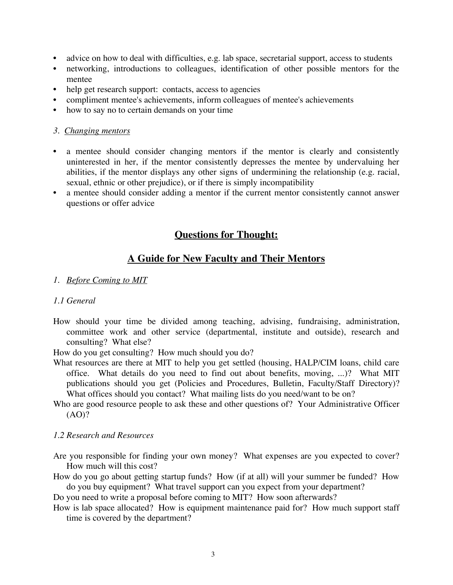- advice on how to deal with difficulties, e.g. lab space, secretarial support, access to students
- networking, introductions to colleagues, identification of other possible mentors for the mentee
- help get research support: contacts, access to agencies
- compliment mentee's achievements, inform colleagues of mentee's achievements
- how to say no to certain demands on your time

#### *3. Changing mentors*

- a mentee should consider changing mentors if the mentor is clearly and consistently uninterested in her, if the mentor consistently depresses the mentee by undervaluing her abilities, if the mentor displays any other signs of undermining the relationship (e.g. racial, sexual, ethnic or other prejudice), or if there is simply incompatibility
- a mentee should consider adding a mentor if the current mentor consistently cannot answer questions or offer advice

## **Questions for Thought:**

# **A Guide for New Faculty and Their Mentors**

#### *1. Before Coming to MIT*

#### *1.1 General*

How should your time be divided among teaching, advising, fundraising, administration, committee work and other service (departmental, institute and outside), research and consulting? What else?

How do you get consulting? How much should you do?

- What resources are there at MIT to help you get settled (housing, HALP/CIM loans, child care office. What details do you need to find out about benefits, moving, ...)? What MIT publications should you get (Policies and Procedures, Bulletin, Faculty/Staff Directory)? What offices should you contact? What mailing lists do you need/want to be on?
- Who are good resource people to ask these and other questions of? Your Administrative Officer (AO)?

## *1.2 Research and Resources*

- Are you responsible for finding your own money? What expenses are you expected to cover? How much will this cost?
- How do you go about getting startup funds? How (if at all) will your summer be funded? How do you buy equipment? What travel support can you expect from your department?

Do you need to write a proposal before coming to MIT? How soon afterwards?

How is lab space allocated? How is equipment maintenance paid for? How much support staff time is covered by the department?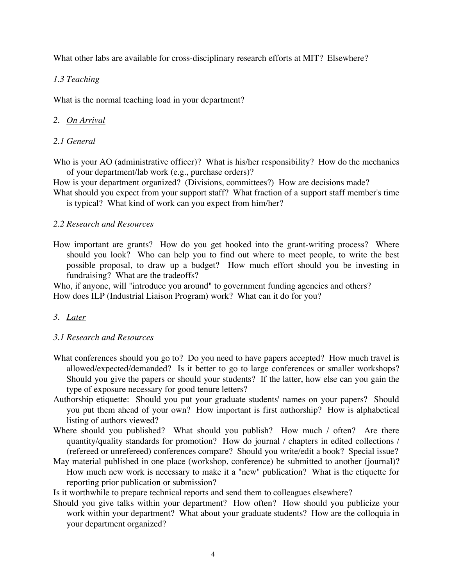What other labs are available for cross-disciplinary research efforts at MIT? Elsewhere?

## *1.3 Teaching*

What is the normal teaching load in your department?

## *2. On Arrival*

## *2.1 General*

Who is your AO (administrative officer)? What is his/her responsibility? How do the mechanics of your department/lab work (e.g., purchase orders)?

How is your department organized? (Divisions, committees?) How are decisions made?

What should you expect from your support staff? What fraction of a support staff member's time is typical? What kind of work can you expect from him/her?

## *2.2 Research and Resources*

How important are grants? How do you get hooked into the grant-writing process? Where should you look? Who can help you to find out where to meet people, to write the best possible proposal, to draw up a budget? How much effort should you be investing in fundraising? What are the tradeoffs?

Who, if anyone, will "introduce you around" to government funding agencies and others? How does ILP (Industrial Liaison Program) work? What can it do for you?

## *3. Later*

## *3.1 Research and Resources*

- What conferences should you go to? Do you need to have papers accepted? How much travel is allowed/expected/demanded? Is it better to go to large conferences or smaller workshops? Should you give the papers or should your students? If the latter, how else can you gain the type of exposure necessary for good tenure letters?
- Authorship etiquette: Should you put your graduate students' names on your papers? Should you put them ahead of your own? How important is first authorship? How is alphabetical listing of authors viewed?
- Where should you published? What should you publish? How much / often? Are there quantity/quality standards for promotion? How do journal / chapters in edited collections / (refereed or unrefereed) conferences compare? Should you write/edit a book? Special issue?
- May material published in one place (workshop, conference) be submitted to another (journal)? How much new work is necessary to make it a "new" publication? What is the etiquette for reporting prior publication or submission?

Is it worthwhile to prepare technical reports and send them to colleagues elsewhere?

Should you give talks within your department? How often? How should you publicize your work within your department? What about your graduate students? How are the colloquia in your department organized?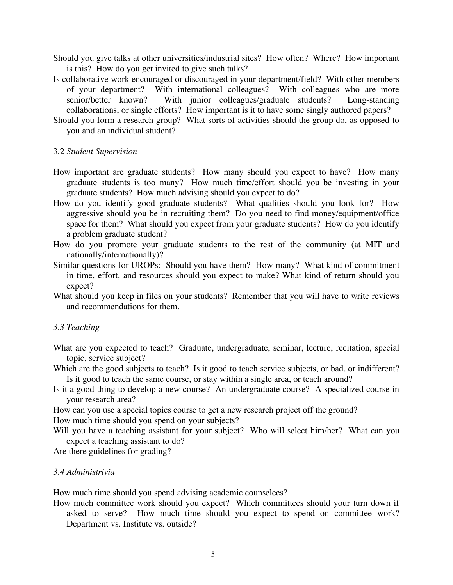- Should you give talks at other universities/industrial sites? How often? Where? How important is this? How do you get invited to give such talks?
- Is collaborative work encouraged or discouraged in your department/field? With other members of your department? With international colleagues? With colleagues who are more senior/better known? With junior colleagues/graduate students? Long-standing collaborations, or single efforts? How important is it to have some singly authored papers?
- Should you form a research group? What sorts of activities should the group do, as opposed to you and an individual student?

#### 3.2 *Student Supervision*

- How important are graduate students? How many should you expect to have? How many graduate students is too many? How much time/effort should you be investing in your graduate students? How much advising should you expect to do?
- How do you identify good graduate students? What qualities should you look for? How aggressive should you be in recruiting them? Do you need to find money/equipment/office space for them? What should you expect from your graduate students? How do you identify a problem graduate student?
- How do you promote your graduate students to the rest of the community (at MIT and nationally/internationally)?
- Similar questions for UROPs: Should you have them? How many? What kind of commitment in time, effort, and resources should you expect to make? What kind of return should you expect?
- What should you keep in files on your students? Remember that you will have to write reviews and recommendations for them.

#### *3.3 Teaching*

- What are you expected to teach? Graduate, undergraduate, seminar, lecture, recitation, special topic, service subject?
- Which are the good subjects to teach? Is it good to teach service subjects, or bad, or indifferent? Is it good to teach the same course, or stay within a single area, or teach around?
- Is it a good thing to develop a new course? An undergraduate course? A specialized course in your research area?
- How can you use a special topics course to get a new research project off the ground? How much time should you spend on your subjects?
- Will you have a teaching assistant for your subject? Who will select him/her? What can you expect a teaching assistant to do?

Are there guidelines for grading?

## *3.4 Administrivia*

How much time should you spend advising academic counselees?

How much committee work should you expect? Which committees should your turn down if asked to serve? How much time should you expect to spend on committee work? Department vs. Institute vs. outside?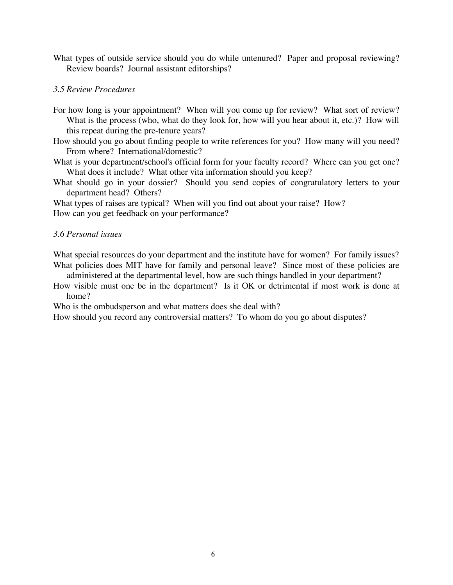What types of outside service should you do while untenured? Paper and proposal reviewing? Review boards? Journal assistant editorships?

#### *3.5 Review Procedures*

- For how long is your appointment? When will you come up for review? What sort of review? What is the process (who, what do they look for, how will you hear about it, etc.)? How will this repeat during the pre-tenure years?
- How should you go about finding people to write references for you? How many will you need? From where? International/domestic?
- What is your department/school's official form for your faculty record? Where can you get one? What does it include? What other vita information should you keep?
- What should go in your dossier? Should you send copies of congratulatory letters to your department head? Others?

What types of raises are typical? When will you find out about your raise? How? How can you get feedback on your performance?

#### *3.6 Personal issues*

What special resources do your department and the institute have for women? For family issues? What policies does MIT have for family and personal leave? Since most of these policies are

administered at the departmental level, how are such things handled in your department? How visible must one be in the department? Is it OK or detrimental if most work is done at

home?

Who is the ombudsperson and what matters does she deal with?

How should you record any controversial matters? To whom do you go about disputes?